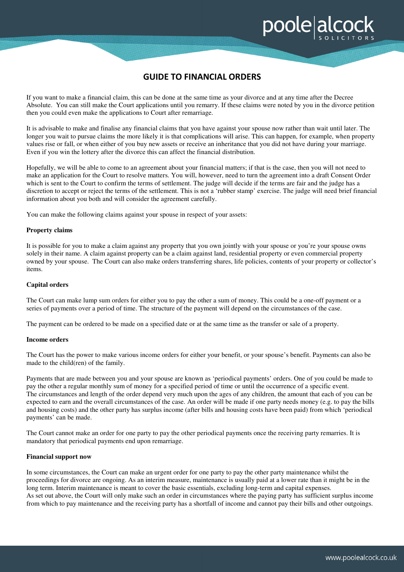# **GUIDE TO FINANCIAL ORDERS**

poolealcoo

If you want to make a financial claim, this can be done at the same time as your divorce and at any time after the Decree Absolute. You can still make the Court applications until you remarry. If these claims were noted by you in the divorce petition then you could even make the applications to Court after remarriage.

It is advisable to make and finalise any financial claims that you have against your spouse now rather than wait until later. The longer you wait to pursue claims the more likely it is that complications will arise. This can happen, for example, when property values rise or fall, or when either of you buy new assets or receive an inheritance that you did not have during your marriage. Even if you win the lottery after the divorce this can affect the financial distribution.

Hopefully, we will be able to come to an agreement about your financial matters; if that is the case, then you will not need to make an application for the Court to resolve matters. You will, however, need to turn the agreement into a draft Consent Order which is sent to the Court to confirm the terms of settlement. The judge will decide if the terms are fair and the judge has a discretion to accept or reject the terms of the settlement. This is not a 'rubber stamp' exercise. The judge will need brief financial information about you both and will consider the agreement carefully.

You can make the following claims against your spouse in respect of your assets:

#### **Property claims**

It is possible for you to make a claim against any property that you own jointly with your spouse or you're your spouse owns solely in their name. A claim against property can be a claim against land, residential property or even commercial property owned by your spouse. The Court can also make orders transferring shares, life policies, contents of your property or collector's items.

#### **Capital orders**

The Court can make lump sum orders for either you to pay the other a sum of money. This could be a one-off payment or a series of payments over a period of time. The structure of the payment will depend on the circumstances of the case.

The payment can be ordered to be made on a specified date or at the same time as the transfer or sale of a property.

## **Income orders**

The Court has the power to make various income orders for either your benefit, or your spouse's benefit. Payments can also be made to the child(ren) of the family.

Payments that are made between you and your spouse are known as 'periodical payments' orders. One of you could be made to pay the other a regular monthly sum of money for a specified period of time or until the occurrence of a specific event. The circumstances and length of the order depend very much upon the ages of any children, the amount that each of you can be expected to earn and the overall circumstances of the case. An order will be made if one party needs money (e.g. to pay the bills and housing costs) and the other party has surplus income (after bills and housing costs have been paid) from which 'periodical payments' can be made.

The Court cannot make an order for one party to pay the other periodical payments once the receiving party remarries. It is mandatory that periodical payments end upon remarriage.

## **Financial support now**

In some circumstances, the Court can make an urgent order for one party to pay the other party maintenance whilst the proceedings for divorce are ongoing. As an interim measure, maintenance is usually paid at a lower rate than it might be in the long term. Interim maintenance is meant to cover the basic essentials, excluding long-term and capital expenses. As set out above, the Court will only make such an order in circumstances where the paying party has sufficient surplus income from which to pay maintenance and the receiving party has a shortfall of income and cannot pay their bills and other outgoings.